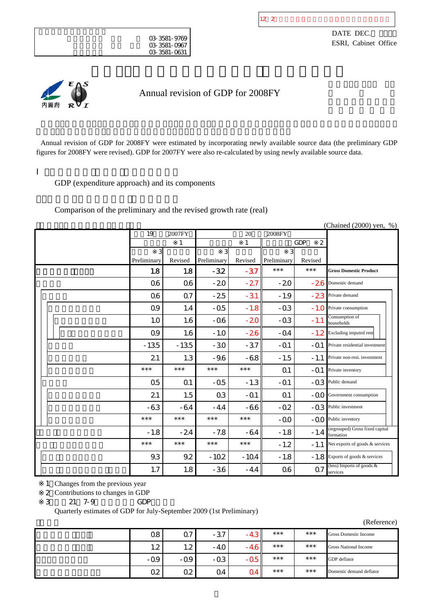

DATE DEC. ESRI, Cabinet Office



Annual revision of GDP for 2008FY

Annual revision of GDP for 2008FY were estimated by incorporating newly available source data (the preliminary GDP figures for 2008FY were revised). GDP for 2007FY were also re-calculated by using newly available source data.

GDP (expenditure approach) and its components

Comparison of the preliminary and the revised growth rate (real)

|  |                |                |             |         |                |                              | (Chained (2000) yen, %)                      |
|--|----------------|----------------|-------------|---------|----------------|------------------------------|----------------------------------------------|
|  | 19             | 2007FY         |             | 20      | 2008FY         |                              |                                              |
|  |                | 1              |             | 1       |                | <b>GDP</b><br>$\overline{2}$ |                                              |
|  |                |                | 3           |         |                |                              |                                              |
|  | Preliminary    | Revised        | Preliminary | Revised | Preliminary    | Revised                      |                                              |
|  | 1.8            | 1.8            | $-32$       | $-37$   | $***$          | $***$                        | <b>Gross Domestic Product</b>                |
|  | Q6             | Q6             | $-20$       | $-27$   | $-20$          | $-26$                        | Domestic demand                              |
|  | <b>Q6</b>      | Q <sub>7</sub> | $-25$       | $-31$   | $-1.9$         |                              | - 23 Private demand                          |
|  | Q9             | 1.4            | $-05$       | $-1.8$  | $-03$          | $-1.0$                       | Private consumption                          |
|  | 1.0            | 1.6            | $-06$       | $-20$   | $-03$          | $-1.1$                       | Consumption of<br>households                 |
|  | Q9             | 1.6            | $-1.0$      | $-26$   | $-Q4$          | $-1.2$                       | Excluding imputed rent                       |
|  | $-135$         | $-135$         | $-30$       | $-37$   | $-Q1$          | $-Q1$                        | Private residential investment               |
|  | 21             | 1.3            | $-9.6$      | $-68$   | $-1.5$         | $-1.1$                       | Private non-resi. investment                 |
|  | $***$          | $***$          | $***$       | $***$   | Q <sub>1</sub> | $-Q1$                        | Private inventory                            |
|  | Q <sub>5</sub> | Q <sub>1</sub> | $-05$       | $-1.3$  | $-Q1$          | $-03$                        | Public demand                                |
|  | 21             | 1.5            | Q3          | $-Q1$   | Q <sub>1</sub> | $-OO$                        | Government consumption                       |
|  | $-63$          | $-64$          | $-4.4$      | -66     | $-02$          | $-03$                        | Public investment                            |
|  | ***            | $***$          | $***$       | $***$   | $-00$          | $-00$                        | Public inventory                             |
|  | $-1.8$         | $-24$          | $-7.8$      | $-64$   | $-1.8$         | $-1.4$                       | (regrouped) Gross fixed capital<br>formation |
|  | $***$          | $***$          | $***$       | $***$   | $-1.2$         | $-1.1$                       | Net exports of goods & services              |
|  | 9.3            | 9.2            | $-102$      | $-104$  | $-1.8$         | $-1.8$                       | Exports of goods & services                  |
|  | 1.7            | 1.8            | $-36$       | $-4.4$  | <b>Q6</b>      | Q7                           | (less) Imports of goods &<br>services        |

1 Changes from the previous year

2 Contributions to changes in GDP

3: 21: 7-9 GDP

Quarterly estimates of GDP for July-September 2009 (1st Preliminary)

| Ω8          | Ω7                  | $-37$ | $-4.7$ | $***$ | $***$ | Gross Domestic Income        |
|-------------|---------------------|-------|--------|-------|-------|------------------------------|
| 1 າ<br>ے. ا | 1. $\Omega$<br>$-2$ | $-40$ | - 40   | $***$ | $***$ | <b>Gross National Income</b> |
| $-0.9$      | $-0.9$              | $-03$ | -ut    | $***$ | $***$ | GDP deflator                 |
| Ω2          | Q2                  | Ω4    | ו 24'  | $***$ | $***$ | Domestic demand deflator     |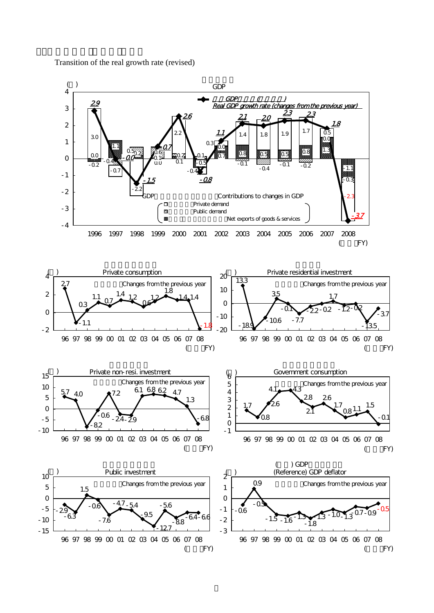Transition of the real growth rate (revised)

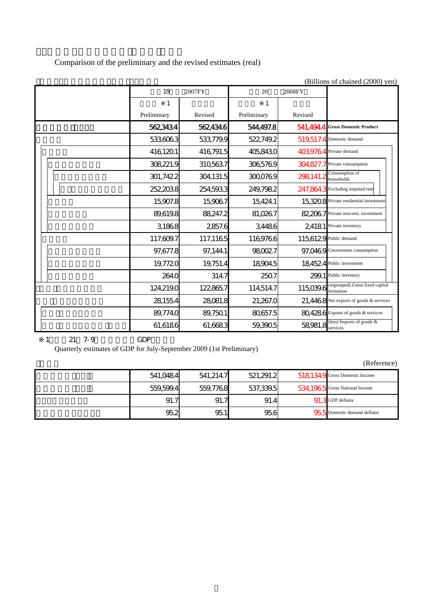Comparison of the preliminary and the revised estimates (real)

|  |             |           |             |           | (DIMONS OF CHANGE (2000) YEAR                |
|--|-------------|-----------|-------------|-----------|----------------------------------------------|
|  | 19          | 2007FY    | 20          | 2008FY    |                                              |
|  | 1           |           | 1           |           |                                              |
|  | Preliminary | Revised   | Preliminary | Revised   |                                              |
|  | 5623434     | 562434.6  | 544,497.8   |           | 541,494.4 Gross Domestic Product             |
|  | 533,606.3   | 533,779.9 | 522,749.2   |           | 519,517.4 Domestic demand                    |
|  | 416,1201    | 416,791.5 | 405,8430    |           | 403,9764 Private demand                      |
|  | 308,221.9   | 310,563.7 | 3065769     |           | 304,827.7 Private consumption                |
|  | 301,7422    | 304,131.5 | 300,0769    | 298,141.2 | Consumption of<br>households                 |
|  | 252,2038    | 254,593.3 | 249,798.2   |           | 247,864,3 Excluding imputed rent             |
|  | 15,907.8    | 15,906.7  | 15,424.1    |           | 15,3208 Private residential investment       |
|  | 89,619.8    | 88,247.2  | 81,0267     |           | 82.2067 Private non-resi. investment         |
|  | 3,1868      | 2857.6    | 3,4486      |           | 2,4181 Private inventory                     |
|  | 117,609.7   | 117,1165  | 1169766     |           | 115,6129 Public demand                       |
|  | 97,677.8    | 97,144.1  | 980027      |           | 97,0469 Government consumption               |
|  | 19,7720     | 19,751.4  | 18,904.5    |           | 184524 Public investment                     |
|  | 264.0       | 314.7     | 250.7       |           | 299.1 Public inventory                       |
|  | 124,219.0   | 122,865.7 | 114,514.7   | 115,039.6 | (regrouped) Gross fixed capital<br>formation |
|  | 28,155.4    | 28,081.8  | 21,267.0    |           | 21,4468 Net exports of goods & services      |
|  | 89,774.0    | 89,750.1  | 80,657.5    |           | 80,4286 Exports of goods & services          |
|  | 61,6186     | 61,6683   | 59,390.5    | 58,981.8  | less) Imports of goods &<br>services         |

 $(Rillions of chained (2000)$  yen)

1: 21: 7-9 GDP

Quarterly estimates of GDP for July-September 2009 (1st Preliminary)

| 541,0484  | 541.214.7 | 521,291.2 | 5181349 Gross Domestic Income  |
|-----------|-----------|-----------|--------------------------------|
| 559,599.4 | 559.776.8 | 537,339.5 | 534.1965 Gross National Income |
| 91.7      | 91.7      | 91.4      | 91 3 GDP deflator              |
| 95.2      | 95.1      | 95.6      | 955 Domestic demand deflator   |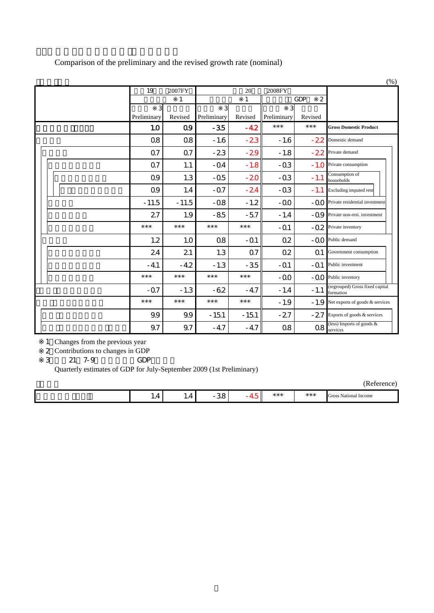|  |                  |                |                      |         |                  |                  | (% )                                         |
|--|------------------|----------------|----------------------|---------|------------------|------------------|----------------------------------------------|
|  | 19               | 2007FY         |                      | 20      | 2008FY           |                  |                                              |
|  |                  | 1              |                      | 1       |                  | <b>GDP</b><br>2  |                                              |
|  | 3<br>Preliminary | Revised        | 31                   | Revised | 3<br>Preliminary |                  |                                              |
|  | 1.0              | Q9             | Preliminary<br>$-35$ | $-42$   | $***$            | Revised<br>$***$ | <b>Gross Domestic Product</b>                |
|  | Q8               | <b>Q8</b>      | $-1.6$               | $-23$   | $-1.6$           | $-22$            | Domestic demand                              |
|  | Q <sub>7</sub>   | Q <sub>7</sub> | $-23$                | $-29$   | $-1.8$           | $-22$            | Private demand                               |
|  | Q <sub>7</sub>   | 1.1            | $-Q4$                | $-1.8$  | $-Q3$            | $-1.0$           | Private consumption                          |
|  | Q9               | 1.3            | $-05$                | $-20$   | $-03$            | $-1.1$           | Consumption of<br>households                 |
|  | Q9               | 1.4            | $-07$                | $-24$   | $-03$            | $-1.1$           | Excluding imputed rent                       |
|  | $-11.5$          | $-11.5$        | $-08$                | $-1.2$  | $-OO$            | $-00-$           | Private residential investment               |
|  | 27               | 1.9            | $-85$                | $-57$   | $-1.4$           |                  | -Q9 Private non-resi. investment             |
|  | $***$            | $***$          | $***$                | $***$   | $-Q1$            | $-02$            | Private inventory                            |
|  | 1.2              | 1.0            | $\Omega$             | $-Q1$   | Q2               | $-00-$           | Public demand                                |
|  | 24               | 21             | 1.3                  | Q7      | Q <sub>2</sub>   | Q1               | Government consumption                       |
|  | $-4.1$           | $-4.2$         | $-1.3$               | $-35$   | $-Q1$            | $-Q1$            | Public investment                            |
|  | $***$            | $***$          | $***$                | $***$   | $-00$            | $-00$            | Public inventory                             |
|  | $-07$            | $-1.3$         | $-62$                | $-4.7$  | $-1.4$           | $-1.1$           | (regrouped) Gross fixed capital<br>formation |
|  | $***$            | $***$          | $***$                | $***$   | $-1.9$           | $-1.9$           | Net exports of goods & services              |
|  | 9.9              | 9.9            | $-151$               | $-151$  | $-27$            | $-27$            | Exports of goods & services                  |
|  | 9.7              | 9.7            | $-4.7$               | $-47$   | Q8               | Q8               | (less) Imports of goods &<br>services        |

Comparison of the preliminary and the revised growth rate (nominal)

1 Changes from the previous year

2 Contributions to changes in GDP

3: 21: 7-9 GDP

Quarterly estimates of GDP for July-September 2009 (1st Preliminary)

| . . | . . | і | .<br>* * * | *** | Gross<br>National Income |
|-----|-----|---|------------|-----|--------------------------|
|     |     |   |            |     |                          |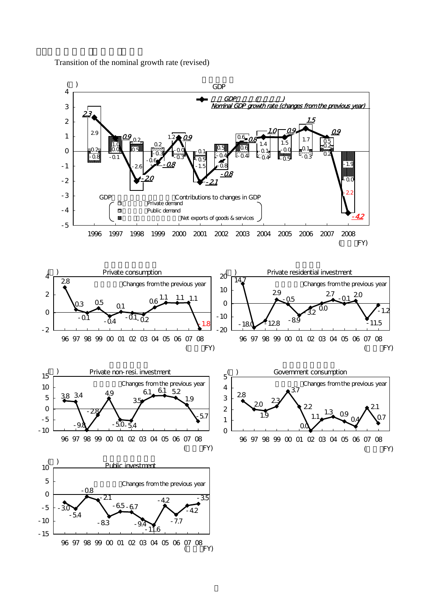

Transition of the nominal growth rate (revised)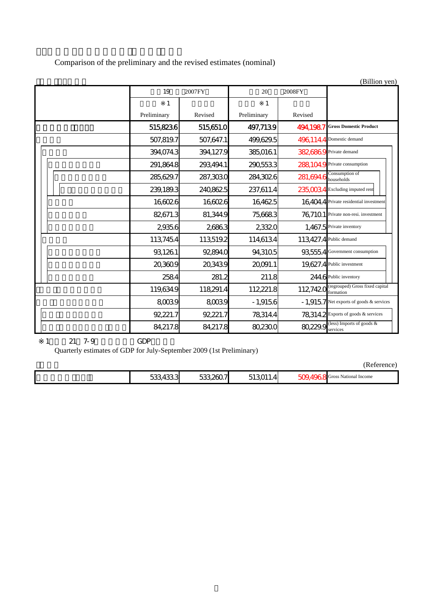Comparison of the preliminary and the revised estimates (nominal)

|             |           |             |                        | (Billion yen)                                |
|-------------|-----------|-------------|------------------------|----------------------------------------------|
| 19          | 2007FY    | 20          | 2008FY                 |                                              |
| 1           |           |             |                        |                                              |
| Preliminary | Revised   | Preliminary | Revised                |                                              |
| 5158236     | 515651.0  | 497,7139    | 494.1987               | <b>Gross Domestic Product</b>                |
| 507,819.7   | 507,647.1 | 499,629.5   |                        | 496,114.4 Domestic demand                    |
| 394,074.3   | 394,127.9 | 385,016.1   |                        | 382,6869 Private demand                      |
| 291,864.8   | 293,494.1 | 2905533     |                        | 288104.9 Private consumption                 |
| 285,629.7   | 287,303.0 | 284,3026    | $281,694.6$ households | Consumption of                               |
| 239,189.3   | 240,8625  | 237,611.4   |                        | 235,0034 Excluding imputed rent              |
| 16,6026     | 16,6026   | 16,4625     |                        | 16,404.4 Private residential investment      |
| 82,671.3    | 81,344.9  | 75,6683     |                        | 76,7101 Private non-resi. investment         |
| 29356       | 26863     | 23320       |                        | 1,467.5 Private inventory                    |
| 113,7454    | 113,519.2 | 114,6134    |                        | 113,427.4 Public demand                      |
| 93,1261     | 92,894.0  | 94,3105     | 935554                 | Government consumption                       |
| 20,360.9    | 20,343.9  | 20091.1     |                        | 19,627.4 Public investment                   |
| 2584        | 281.2     | 211.8       |                        | 244.6 Public inventory                       |
| 119,634.9   | 118,291.4 | 112,221.8   | 112,7420               | (regrouped) Gross fixed capital<br>formation |
| 8,0039      | 8,003.9   | $-1,9156$   |                        | - 1,9157 Net exports of goods & services     |
| 92,221.7    | 92,221.7  | 78,314.4    |                        | 78.314.2 Exports of goods & services         |
| 84,217.8    | 84,217.8  | 80,230.0    | 80,229.9               | (less) Imports of goods &<br>services        |

## 1: 21: 7-9 GDP

Quarterly estimates of GDP for July-September 2009 (1st Preliminary)

|--|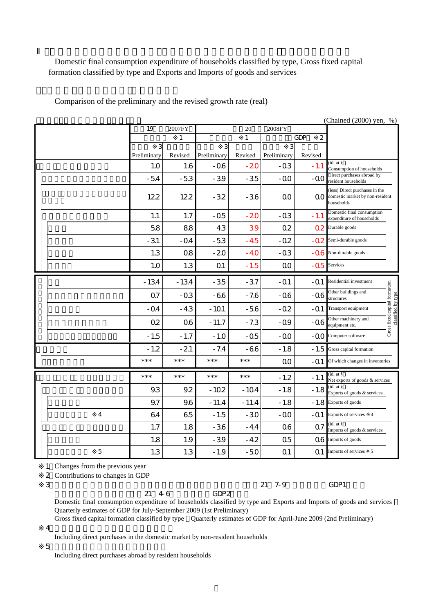Domestic final consumption expenditure of households classified by type, Gross fixed capital

formation classified by type and Exports and Imports of goods and services

Comparison of the preliminary and the revised growth rate (real)

|  |   |                |           |                |         |                | (Chained (2000) yen, %) |                                                                                 |                                                     |
|--|---|----------------|-----------|----------------|---------|----------------|-------------------------|---------------------------------------------------------------------------------|-----------------------------------------------------|
|  |   | 19             | 2007FY    |                | 20      | 2008FY         |                         |                                                                                 |                                                     |
|  |   |                | 1         |                | 1       |                | <b>GDP</b><br>2         |                                                                                 |                                                     |
|  |   | 3              |           | 3              |         | 3              |                         |                                                                                 |                                                     |
|  |   | Preliminary    | Revised   | Preliminary    | Revised | Preliminary    | Revised                 | (id, at § )                                                                     |                                                     |
|  |   | 1.0            | 1.6       | $-06$          | $-20$   | $-0.3$         | $-1.1$                  | Consumption of households                                                       |                                                     |
|  |   | $-54$          | $-53$     | $-39$          | $-35$   | $-OO$          | -00                     | Direct purchases abroad by<br>resident households                               |                                                     |
|  |   | 122            | 122       | $-32$          | $-36$   | $\Omega$       | QO                      | (less) Direct purchases in the<br>domestic market by non-resident<br>households |                                                     |
|  |   | 1.1            | 1.7       | $-05$          | $-20$   | $-03$          | $-1.1$                  | Domestic final consumption<br>expenditure of households                         |                                                     |
|  |   | 58             | 88        | 43             | 39      | Q2             | Ω2                      | Durable goods                                                                   |                                                     |
|  |   | $-31$          | $-04$     | $-53$          | $-45$   | $-02$          | $-02$                   | Semi-durable goods                                                              |                                                     |
|  |   | 1.3            | <b>Q8</b> | $-20$          | $-40$   | $-03$          | $-06$                   | Non-durable goods                                                               |                                                     |
|  |   | 1.0            | 1.3       | Q <sub>1</sub> | $-1.5$  | O <sub>O</sub> | $-05$                   | Services                                                                        |                                                     |
|  |   | $-134$         | $-134$    | $-35$          | $-37$   | $-Q1$          | $-Q1$                   | Residential investment                                                          |                                                     |
|  |   | Q <sub>7</sub> | $-0.3$    | $-66$          | $-7.6$  | $-06$          | $-06$                   | Other buildings and<br>structures                                               |                                                     |
|  |   | $-Q4$          | $-4.3$    | $-101$         | $-56$   | $-02$          | $-Q1$                   | Transport equipment                                                             | Gross fixed capital formation<br>classified by type |
|  |   | 02             | <b>Q6</b> | $-11.7$        | $-7.3$  | $-09$          | $-06$                   | Other machinery and<br>equipment etc.                                           |                                                     |
|  |   | $-1.5$         | $-1.7$    | $-1.0$         | $-05$   | $-00$          | $-OO$                   | Computer software                                                               |                                                     |
|  |   | $-1.2$         | $-21$     | $-7.4$         | $-66$   | $-1.8$         | $-1.5$                  | Gross capital formation                                                         |                                                     |
|  |   | $***$          | $***$     | $***$          | $***$   | QO             | $-Q1$                   | Of which changes in inventories                                                 |                                                     |
|  |   | $***$          | $***$     | $***$          | $***$   | $-1.2$         | $-1.1$                  | (id, at §)<br>Net exports of goods & services                                   |                                                     |
|  |   | 9.3            | 9.2       | $-102$         | $-104$  | $-1.8$         | $-1.8$                  | (id, at § )<br>Exports of goods & services                                      |                                                     |
|  |   | 9.7            | 9.6       | $-11.4$        | $-11.4$ | $-1.8$         | $-1.8$                  | Exports of goods                                                                |                                                     |
|  | 4 | 64             | 65        | $-1.5$         | $-30$   | $-00$          | $-Q1$                   | Exports of services 4                                                           |                                                     |
|  |   | 1.7            | 1.8       | $-36$          | $-4.4$  | Q6             | Q <sub>7</sub>          | (id, at § )<br>Imports of goods & services                                      |                                                     |
|  |   | 1.8            | 1.9       | $-39$          | $-42$   | Q <sub>5</sub> | Ο6                      | Imports of goods                                                                |                                                     |
|  | 5 | 1.3            | 1.3       | $-1.9$         | $-50$   | Q1             | Q <sub>1</sub>          | Imports of services 5                                                           |                                                     |

1 Changes from the previous year

2 Contributions to changes in GDP

形態別総固定資本形成:平成21年4-6月期四半期別GDP2次速報

※3: 形態別国内家計最終消費支出及び財貨・サービス別の輸出入:平成21年7-9月期四半期別GDP1次速報

Domestic final consumption expenditure of households classified by type and Exports and Imports of goods and services Quarterly estimates of GDP for July-September 2009 (1st Preliminary) Gross fixed capital formation classified by type Quarterly estimates of GDP for April-June 2009 (2nd Preliminary)

 $\overline{4}$ 

Including direct purchases in the domestic market by non-resident households

 $5$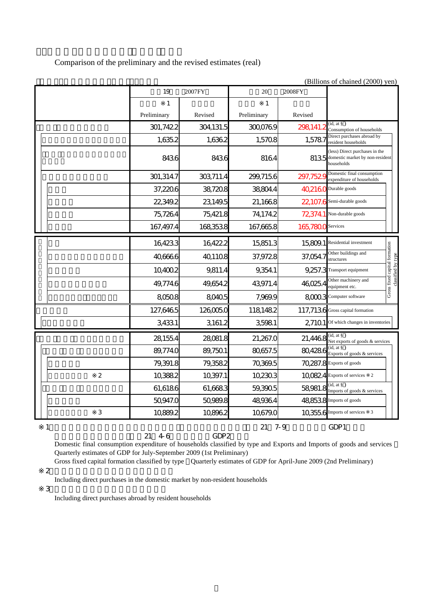Comparison of the preliminary and the revised estimates (real)

(Billions of chained (2000) yen)

|   |                | 19          | 2007FY    | 20          | 2008FY    |                                                                                 |                                                     |
|---|----------------|-------------|-----------|-------------|-----------|---------------------------------------------------------------------------------|-----------------------------------------------------|
|   |                | 1           |           | 1           |           |                                                                                 |                                                     |
|   |                | Preliminary | Revised   | Preliminary | Revised   |                                                                                 |                                                     |
|   |                | 301,7422    | 304,131.5 | 300,0769    | 298,141.2 | (id, at § )<br>Consumption of households                                        |                                                     |
|   |                | 1,635.2     | 1,636.2   | 1,5708      | 1,5787    | Direct purchases abroad by<br>resident households                               |                                                     |
|   |                | 8436        | 8436      | 8164        | 8135      | (less) Direct purchases in the<br>domestic market by non-resident<br>households |                                                     |
|   |                | 301,314.7   | 303,711.4 | 299,715.6   | 297,7529  | Domestic final consumption<br>expenditure of households                         |                                                     |
|   |                | 37,220.6    | 38,720.8  | 38804.4     | 40,2160   | Durable goods                                                                   |                                                     |
|   |                | 22,349.2    | 23,149.5  | 21,1668     | 22107.6   | Semi-durable goods                                                              |                                                     |
|   |                | 75,7264     | 75,421.8  | 74,174.2    | 723741    | Non-durable goods                                                               |                                                     |
|   |                | 167,497.4   | 168,353.8 | 167,665.8   | 165,7800  | Services                                                                        |                                                     |
|   |                | 16,423.3    | 16,422.2  | 15,851.3    | 15,809.1  | Residential investment                                                          |                                                     |
|   |                | 40,666.6    | 401108    | 37,9728     | 37,054.7  | Other buildings and<br>structures                                               | Gross fixed capital formation<br>classified by type |
|   |                | 10,400.2    | 9,811.4   | 9,354.1     |           | 9.257.3 Transport equipment                                                     |                                                     |
|   |                | 49,774.6    | 49,654.2  | 43,971.4    | 46,025.4  | Other machinery and<br>equipment etc.                                           |                                                     |
|   |                | 8,050.8     | 8,040.5   | 7,969.9     | 8,000.3   | Computer software                                                               |                                                     |
|   |                | 127,6465    | 126,005.0 | 1181482     |           | 117,7136 Gross capital formation                                                |                                                     |
|   |                | 3,4331      | 3,161.2   | 3,5981      | 2,7101    | Of which changes in inventories                                                 |                                                     |
|   |                | 28,155.4    | 28,081.8  | 21,267.0    | 21,4468   | (id, at § )<br>Net exports of goods & services                                  |                                                     |
|   |                | 89,774.0    | 89,750.1  | 80,657.5    | 80,4286   | (id, at §)<br>Exports of goods & services                                       |                                                     |
|   |                | 79,391.8    | 79,358.2  | 70,369.5    |           | 70,287.8 Exports of goods                                                       |                                                     |
|   | $\overline{2}$ | 10,388.2    | 10,397.1  | 102303      |           | 100824 Exports of services<br>$\overline{2}$                                    |                                                     |
|   |                | 61,6186     | 61,6683   | 59,390.5    | 58,981.8  | (id, at § )<br>Imports of goods & services                                      |                                                     |
|   |                | 50,947.0    | 50,989.8  | 489364      |           | 48,853.8 Imports of goods                                                       |                                                     |
|   | 3              | 10,889.2    | 10,896.2  | 10,679.0    |           | 10,3556 Imports of services<br>$\overline{3}$                                   |                                                     |
| 1 |                |             |           | 21          | $7 - 9$   | GDP1                                                                            |                                                     |

Domestic final consumption expenditure of households classified by type and Exports and Imports of goods and services Quarterly estimates of GDP for July-September 2009 (1st Preliminary)

 ※2: 含む非居住者家計の国内での直接購入 Gross fixed capital formation classified by type Quarterly estimates of GDP for April-June 2009 (2nd Preliminary)

形態別総固定資本形成:平成21年4-6月期四半期別GDP2次速報

Including direct purchases in the domestic market by non-resident households

 $\overline{3}$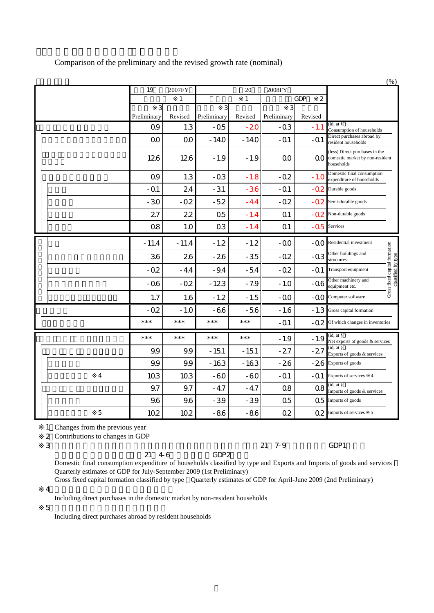|   |             |          |                |         |                |                              |                                                                                 | (% )                                                |
|---|-------------|----------|----------------|---------|----------------|------------------------------|---------------------------------------------------------------------------------|-----------------------------------------------------|
|   | 19          | 2007FY   |                | 20      | 2008FY         |                              |                                                                                 |                                                     |
|   |             | 1        |                | 1       |                | $\overline{2}$<br><b>GDP</b> |                                                                                 |                                                     |
|   | 3           |          | 3              |         | 3              |                              |                                                                                 |                                                     |
|   | Preliminary | Revised  | Preliminary    | Revised | Preliminary    | Revised                      | (id, at § )                                                                     |                                                     |
|   | Q9          | 1.3      | $-05$          | $-20$   | $-03$          | $-1.1$                       | Consumption of households<br>Direct purchases abroad by                         |                                                     |
|   | 00          | $\Omega$ | $-140$         | $-140$  | $-01$          | -Q1                          | resident households                                                             |                                                     |
|   | 126         | 126      | $-1.9$         | $-1.9$  | $\Omega$       | QΟ                           | (less) Direct purchases in the<br>domestic market by non-resident<br>households |                                                     |
|   | Q9          | 1.3      | $-03$          | $-1.8$  | $-02$          | $-1.0$                       | Domestic final consumption<br>expenditure of households                         |                                                     |
|   | $-Q1$       | 24       | $-31$          | $-36$   | $-Q1$          | $-02$                        | Durable goods                                                                   |                                                     |
|   | $-30$       | $-0.2$   | $-52$          | $-4.4$  | $-02$          | -02.                         | Semi-durable goods                                                              |                                                     |
|   | 27          | 22       | Q <sub>5</sub> | $-1.4$  | Q <sub>1</sub> | -02                          | Non-durable goods                                                               |                                                     |
|   | <b>Q8</b>   | 1.0      | Q <sub>3</sub> | $-1.4$  | Q <sub>1</sub> | $-05$                        | Services                                                                        |                                                     |
|   | $-11.4$     | $-11.4$  | $-1.2$         | $-1.2$  | -00            | -00                          | Residential investment                                                          |                                                     |
|   | 36          | 26       | $-26$          | $-35$   | $-02$          | $-03$                        | Other buildings and<br>structures                                               |                                                     |
|   | $-02$       | $-4.4$   | $-9.4$         | $-54$   | $-02$          | -01                          | Transport equipment                                                             | Gross fixed capital formation<br>classified by type |
|   | $-06$       | $-0.2$   | $-123$         | $-7.9$  | $-1.0$         | $-06$                        | Other machinery and<br>equipment etc.                                           |                                                     |
|   | 1.7         | 1.6      | $-1.2$         | $-1.5$  | $-OO$          | $-OO$                        | Computer software                                                               |                                                     |
|   | $-0.2$      | $-1.0$   | $-66$          | $-56$   | $-1.6$         | $-1.3$                       | Gross capital formation                                                         |                                                     |
|   | $***$       | ***      | $***$          | $***$   | $-Q1$          | $-02$                        | Of which changes in inventories                                                 |                                                     |
|   | $***$       | $***$    | $***$          | $***$   | $-1.9$         | $-1.9$                       | (id, at § )<br>Net exports of goods & services                                  |                                                     |
|   | 9.9         | 9.9      | $-151$         | $-151$  | $-27$          | $-27$                        | (id, at §)<br>Exports of goods & services                                       |                                                     |
|   | 9.9         | 9.9      | $-163$         | $-163$  | $-26$          | $-26$                        | Exports of goods                                                                |                                                     |
| 4 | 103         | 10.3     | $-60$          | $-60$   | $-01$          | -Q1                          | Exports of services<br>$\overline{4}$                                           |                                                     |
|   | 9.7         | 9.7      | $-4.7$         | $-4.7$  | Q8             | Q8                           | (id, at § )<br>Imports of goods & services                                      |                                                     |
|   | 9.6         | 9.6      | $-39$          | $-39$   | Q <sub>5</sub> | Q <sub>5</sub>               | Imports of goods                                                                |                                                     |
| 5 | 10.2        | 10.2     | -86            | $-86$   | Q2             | Q2                           | Imports of services<br>5                                                        |                                                     |

Comparison of the preliminary and the revised growth rate (nominal)

1 Changes from the previous year

2 Contributions to changes in GDP

形態別総固定資本形成:平成21年4-6月期四半期別GDP2次速報

※3: 形態別国内家計最終消費支出及び財貨・サービス別の輸出入:平成21年7-9月期四半期別GDP1次速報

Domestic final consumption expenditure of households classified by type and Exports and Imports of goods and services Quarterly estimates of GDP for July-September 2009 (1st Preliminary)

 $\overline{4}$ Gross fixed capital formation classified by type Quarterly estimates of GDP for April-June 2009 (2nd Preliminary)

Including direct purchases in the domestic market by non-resident households

 $5$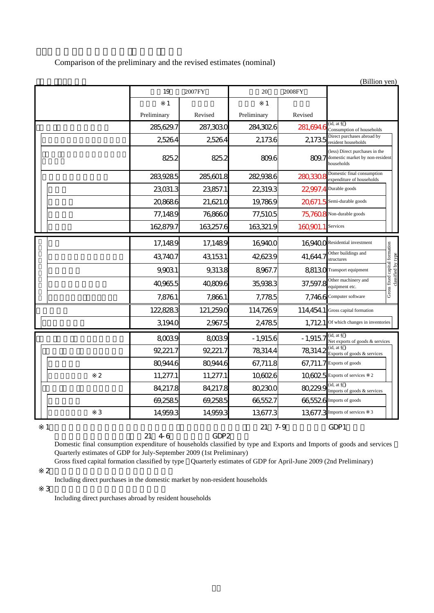Comparison of the preliminary and the revised estimates (nominal)

|             |             |           |             |           | (Billion yen)                                                                   |                                                     |
|-------------|-------------|-----------|-------------|-----------|---------------------------------------------------------------------------------|-----------------------------------------------------|
|             | 19          | 2007FY    | 20          | 2008FY    |                                                                                 |                                                     |
|             | 1           |           | 1           |           |                                                                                 |                                                     |
|             | Preliminary | Revised   | Preliminary | Revised   |                                                                                 |                                                     |
|             | 285,629.7   | 287,303.0 | 284,3026    | 281,694.6 | (id, at § )<br>Consumption of households                                        |                                                     |
|             | 2,5264      | 2,5264    | 21736       | 2,1735    | Direct purchases abroad by<br>resident households                               |                                                     |
|             | 825.2       | 825.2     | 809.6       | 809.7     | (less) Direct purchases in the<br>domestic market by non-resident<br>households |                                                     |
|             | 283,9285    | 285,601.8 | 282,938.6   | 280,330.8 | Domestic final consumption<br>expenditure of households                         |                                                     |
|             | 23,031.3    | 23,857.1  | 22,319.3    | 22,997.4  | Durable goods                                                                   |                                                     |
|             | 20,8686     | 21,621.0  | 19,7869     | 20671.5   | Semi-durable goods                                                              |                                                     |
|             | 77,1489     | 76,866.0  | 77,5105     |           | 75,7608 Non-durable goods                                                       |                                                     |
|             | 162,879.7   | 163,257.6 | 163,321.9   | 160,901.1 | Services                                                                        |                                                     |
|             | 17,1489     | 17,1489   | 16,940.0    |           | 16,9400 Residential investment                                                  |                                                     |
|             | 43,7407     | 43,153.1  | 426239      | 41,644.7  | Other buildings and<br>structures                                               | Gross fixed capital formation<br>classified by type |
|             | 9,9031      | 9,313.8   | 8,967.7     |           | 88130 Transport equipment                                                       |                                                     |
|             | 40,965.5    | 40,809.6  | 35,938.3    | 37,597.8  | Other machinery and<br>equipment etc.                                           |                                                     |
|             | 7,8761      | 7,866.1   | 7,7785      | 7,7466    | Computer software                                                               |                                                     |
|             | 122,8283    | 121,259.0 | 114,7269    | 114,454.1 | Gross capital formation                                                         |                                                     |
|             | 3,194.0     | 2,967.5   | 24785       | 1,7121    | Of which changes in inventories                                                 |                                                     |
|             | 8,0039      | 8,003.9   | $-1,9156$   | $-1,9157$ | (id, at § )<br>Net exports of goods & services                                  |                                                     |
|             | 92,221.7    | 92,221.7  | 783144      | 78,314.2  | (id, at §)<br>Exports of goods & services                                       |                                                     |
|             | 80,944.6    | 80,944.6  | 67,711.8    |           | 67,711.7 Exports of goods                                                       |                                                     |
| $\mathbf 2$ | 11,277.1    | 11,277.1  | 10,6026     |           | 106025 Exports of services<br>$\overline{2}$                                    |                                                     |
|             | 84,217.8    | 84,217.8  | 80,230.0    | 80,229.9  | (id, at § )<br>Imports of goods & services                                      |                                                     |
|             | 69,2585     | 69,258.5  | 665527      |           | 66,5526 Imports of goods                                                        |                                                     |
| 3           | 14,959.3    | 14,959.3  | 13,677.3    | 13,677.3  | Imports of services<br>3                                                        |                                                     |
| 1           |             |           | 21          | $7 - 9$   | GDP1                                                                            |                                                     |

形態別総固定資本形成:平成21年4-6月期四半期別GDP2次速報 Domestic final consumption expenditure of households classified by type and Exports and Imports of goods and services Quarterly estimates of GDP for July-September 2009 (1st Preliminary)

 ※2: 含む非居住者家計の国内での直接購入 Gross fixed capital formation classified by type Quarterly estimates of GDP for April-June 2009 (2nd Preliminary)

Including direct purchases in the domestic market by non-resident households

 $\overline{3}$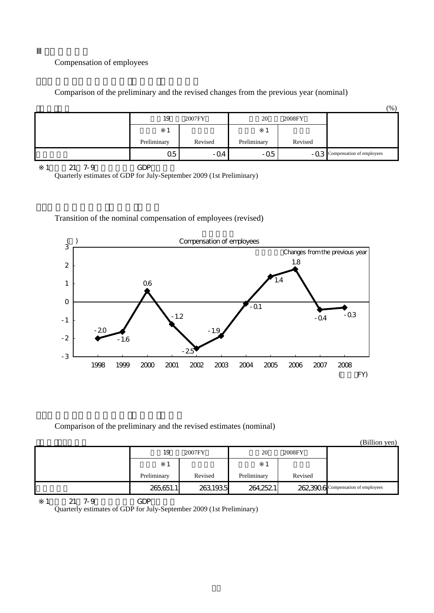## Compensation of employees

Comparison of the preliminary and the revised changes from the previous year (nominal)

|             |         |             |         | $(\% )$                       |
|-------------|---------|-------------|---------|-------------------------------|
| 19          | 2007FY  | 20          | 2008FY  |                               |
|             |         |             |         |                               |
| Preliminary | Revised | Preliminary | Revised |                               |
| Q5          | $-04$   | $-0.5$      |         | -Q3 Compensation of employees |

1: 21: 7-9 GDP

Quarterly estimates of GDP for July-September 2009 (1st Preliminary)

## Transition of the nominal compensation of employees (revised)



Comparison of the preliminary and the revised estimates (nominal)

|             |          |             |         | (Billion yen)                      |
|-------------|----------|-------------|---------|------------------------------------|
| 19          | 2007FY   | 20          | 2008FY  |                                    |
|             |          |             |         |                                    |
| Preliminary | Revised  | Preliminary | Revised |                                    |
| 265,651.1   | 263,1935 | 264,2521    |         | 262,3906 Compensation of employees |

1 21 7-9 GDP Quarterly estimates of GDP for July-September 2009 (1st Preliminary)